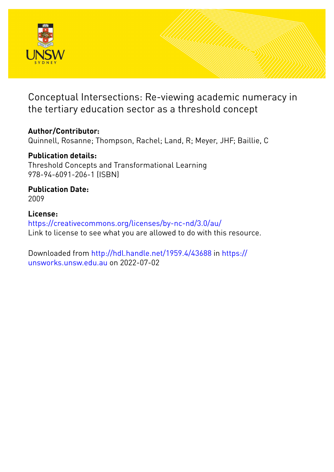

# Conceptual Intersections: Re-viewing academic numeracy in the tertiary education sector as a threshold concept

## **Author/Contributor:**

Quinnell, Rosanne; Thompson, Rachel; Land, R; Meyer, JHF; Baillie, C

## **Publication details:**

Threshold Concepts and Transformational Learning 978-94-6091-206-1 (ISBN)

**Publication Date:** 2009

## **License:**

<https://creativecommons.org/licenses/by-nc-nd/3.0/au/> Link to license to see what you are allowed to do with this resource.

Downloaded from <http://hdl.handle.net/1959.4/43688> in [https://](https://unsworks.unsw.edu.au) [unsworks.unsw.edu.au](https://unsworks.unsw.edu.au) on 2022-07-02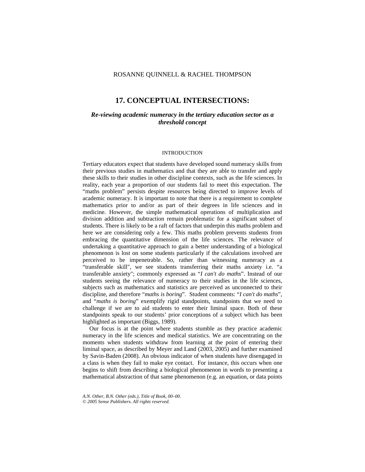## ROSANNE QUINNELL & RACHEL THOMPSON

## **17. CONCEPTUAL INTERSECTIONS:**

## *Re-viewing academic numeracy in the tertiary education sector as a threshold concept*

#### INTRODUCTION

Tertiary educators expect that students have developed sound numeracy skills from their previous studies in mathematics and that they are able to transfer and apply these skills to their studies in other discipline contexts, such as the life sciences. In reality, each year a proportion of our students fail to meet this expectation. The "maths problem" persists despite resources being directed to improve levels of academic numeracy. It is important to note that there is a requirement to complete mathematics prior to and/or as part of their degrees in life sciences and in medicine. However, the simple mathematical operations of multiplication and division addition and subtraction remain problematic for a significant subset of students. There is likely to be a raft of factors that underpin this maths problem and here we are considering only a few. This maths problem prevents students from embracing the quantitative dimension of the life sciences. The relevance of undertaking a quantitative approach to gain a better understanding of a biological phenomenon is lost on some students particularly if the calculations involved are perceived to be impenetrable. So, rather than witnessing numeracy as a "transferable skill", we see students transferring their maths anxiety i.e. "a transferable anxiety"; commonly expressed as "*I can't do maths*". Instead of our students seeing the relevance of numeracy to their studies in the life sciences, subjects such as mathematics and statistics are perceived as unconnected to their discipline, and therefore "*maths is boring*"*.* Student comments: "*I can't do maths*", and "*maths is boring*" exemplify rigid standpoints, standpoints that we need to challenge if we are to aid students to enter their liminal space. Both of these standpoints speak to our students' prior conceptions of a subject which has been highlighted as important (Biggs, 1989).

 Our focus is at the point where students stumble as they practice academic numeracy in the life sciences and medical statistics. We are concentrating on the moments when students withdraw from learning at the point of entering their liminal space, as described by Meyer and Land (2003, 2005) and further examined by Savin-Baden (2008). An obvious indicator of when students have disengaged in a class is when they fail to make eye contact. For instance, this occurs when one begins to shift from describing a biological phenomenon in words to presenting a mathematical abstraction of that same phenomenon (e.g. an equation, or data points

*A.N. Other, B.N. Other (eds.), Title of Book, 00–00. © 2005 Sense Publishers. All rights reserved.*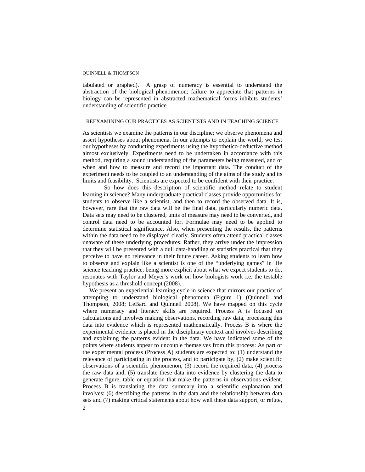tabulated or graphed). A grasp of numeracy is essential to understand the abstraction of the biological phenomenon; failure to appreciate that patterns in biology can be represented in abstracted mathematical forms inhibits students' understanding of scientific practice.

## REEXAMINING OUR PRACTICES AS SCIENTISTS AND IN TEACHING SCIENCE

As scientists we examine the patterns in our discipline; we observe phenomena and assert hypotheses about phenomena. In our attempts to explain the world, we test our hypotheses by conducting experiments using the hypothetico-deductive method almost exclusively. Experiments need to be undertaken in accordance with this method, requiring a sound understanding of the parameters being measured, and of when and how to measure and record the important data. The conduct of the experiment needs to be coupled to an understanding of the aims of the study and its limits and feasibility. Scientists are expected to be confident with their practice.

 So how does this description of scientific method relate to student learning in science? Many undergraduate practical classes provide opportunities for students to observe like a scientist, and then to record the observed data. It is, however, rare that the raw data will be the final data, particularly numeric data. Data sets may need to be clustered, units of measure may need to be converted, and control data need to be accounted for. Formulae may need to be applied to determine statistical significance. Also, when presenting the results, the patterns within the data need to be displayed clearly. Students often attend practical classes unaware of these underlying procedures. Rather, they arrive under the impression that they will be presented with a dull data-handling or statistics practical that they perceive to have no relevance in their future career. Asking students to learn how to observe and explain like a scientist is one of the "underlying games" in life science teaching practice; being more explicit about what we expect students to do, resonates with Taylor and Meyer's work on how biologists work i.e. the testable hypothesis as a threshold concept (2008).

 We present an experiential learning cycle in science that mirrors our practice of attempting to understand biological phenomena (Figure 1) (Quinnell and Thompson, 2008; LeBard and Quinnell 2008). We have mapped on this cycle where numeracy and literacy skills are required. Process A is focused on calculations and involves making observations, recording raw data, processing this data into evidence which is represented mathematically. Process B is where the experimental evidence is placed in the disciplinary context and involves describing and explaining the patterns evident in the data. We have indicated some of the points where students appear to uncouple themselves from this process: As part of the experimental process (Process A) students are expected to: (1) understand the relevance of participating in the process, and to participate by, (2) make scientific observations of a scientific phenomenon, (3) record the required data, (4) process the raw data and, (5) translate these data into evidence by clustering the data to generate figure, table or equation that make the patterns in observations evident. Process B is translating the data summary into a scientific explanation and involves: (6) describing the patterns in the data and the relationship between data sets and (7) making critical statements about how well these data support, or refute,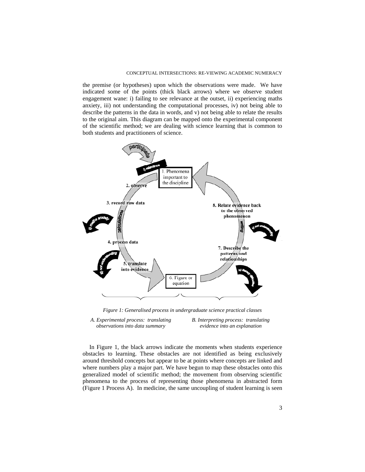the premise (or hypotheses) upon which the observations were made. We have indicated some of the points (thick black arrows) where we observe student engagement wane: i) failing to see relevance at the outset, ii) experiencing maths anxiety, iii) not understanding the computational processes, iv) not being able to describe the patterns in the data in words, and v) not being able to relate the results to the original aim. This diagram can be mapped onto the experimental component of the scientific method; we are dealing with science learning that is common to both students and practitioners of science.



*Figure 1: Generalised process in undergraduate science practical classes* 

*A. Experimental process: translating observations into data summary* 

*B. Interpreting process: translating evidence into an explanation* 

 In Figure 1, the black arrows indicate the moments when students experience obstacles to learning. These obstacles are not identified as being exclusively around threshold concepts but appear to be at points where concepts are linked and where numbers play a major part. We have begun to map these obstacles onto this generalized model of scientific method; the movement from observing scientific phenomena to the process of representing those phenomena in abstracted form (Figure 1 Process A). In medicine, the same uncoupling of student learning is seen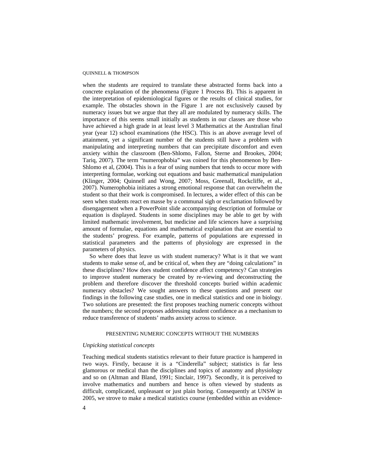when the students are required to translate these abstracted forms back into a concrete explanation of the phenomena (Figure 1 Process B). This is apparent in the interpretation of epidemiological figures or the results of clinical studies, for example. The obstacles shown in the Figure 1 are not exclusively caused by numeracy issues but we argue that they all are modulated by numeracy skills. The importance of this seems small initially as students in our classes are those who have achieved a high grade in at least level 3 Mathematics at the Australian final year (year 12) school examinations (the HSC). This is an above average level of attainment, yet a significant number of the students still have a problem with manipulating and interpreting numbers that can precipitate discomfort and even anxiety within the classroom (Ben-Shlomo, Fallon, Sterne and Brookes, 2004; Tariq, 2007). The term "numerophobia" was coined for this phenomenon by Ben-Shlomo et al, (2004). This is a fear of using numbers that tends to occur more with interpreting formulae, working out equations and basic mathematical manipulation (Klinger, 2004; Quinnell and Wong, 2007; Moss, Greenall, Rockcliffe, et al., 2007). Numerophobia initiates a strong emotional response that can overwhelm the student so that their work is compromised. In lectures, a wider effect of this can be seen when students react en masse by a communal sigh or exclamation followed by disengagement when a PowerPoint slide accompanying description of formulae or equation is displayed. Students in some disciplines may be able to get by with limited mathematic involvement, but medicine and life sciences have a surprising amount of formulae, equations and mathematical explanation that are essential to the students' progress. For example, patterns of populations are expressed in statistical parameters and the patterns of physiology are expressed in the parameters of physics.

So where does that leave us with student numeracy? What is it that we want students to make sense of, and be critical of, when they are "doing calculations" in these disciplines? How does student confidence affect competency? Can strategies to improve student numeracy be created by re-viewing and deconstructing the problem and therefore discover the threshold concepts buried within academic numeracy obstacles? We sought answers to these questions and present our findings in the following case studies, one in medical statistics and one in biology. Two solutions are presented: the first proposes teaching numeric concepts without the numbers; the second proposes addressing student confidence as a mechanism to reduce transference of students' maths anxiety across to science.

## PRESENTING NUMERIC CONCEPTS WITHOUT THE NUMBERS

#### *Unpicking statistical concepts*

Teaching medical students statistics relevant to their future practice is hampered in two ways. Firstly, because it is a "Cinderella" subject; statistics is far less glamorous or medical than the disciplines and topics of anatomy and physiology and so on (Altman and Bland, 1991; Sinclair, 1997). Secondly, it is perceived to involve mathematics and numbers and hence is often viewed by students as difficult, complicated, unpleasant or just plain boring. Consequently at UNSW in 2005, we strove to make a medical statistics course (embedded within an evidence-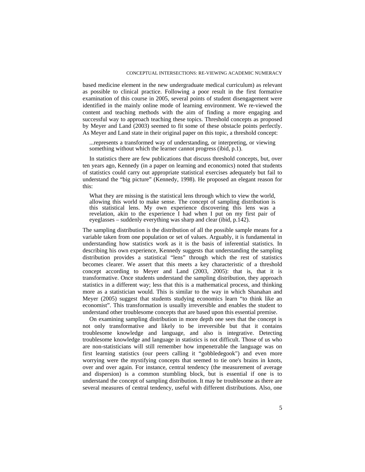based medicine element in the new undergraduate medical curriculum) as relevant as possible to clinical practice. Following a poor result in the first formative examination of this course in 2005, several points of student disengagement were identified in the mainly online mode of learning environment. We re-viewed the content and teaching methods with the aim of finding a more engaging and successful way to approach teaching these topics. Threshold concepts as proposed by Meyer and Land (2003) seemed to fit some of these obstacle points perfectly. As Meyer and Land state in their original paper on this topic, a threshold concept:

...represents a transformed way of understanding, or interpreting, or viewing something without which the learner cannot progress (ibid, p.1).

In statistics there are few publications that discuss threshold concepts, but, over ten years ago, Kennedy (in a paper on learning and economics) noted that students of statistics could carry out appropriate statistical exercises adequately but fail to understand the "big picture" (Kennedy, 1998). He proposed an elegant reason for this:

What they are missing is the statistical lens through which to view the world, allowing this world to make sense. The concept of sampling distribution is this statistical lens. My own experience discovering this lens was a revelation, akin to the experience I had when I put on my first pair of eyeglasses – suddenly everything was sharp and clear (ibid, p.142).

The sampling distribution is the distribution of all the possible sample means for a variable taken from one population or set of values. Arguably, it is fundamental in understanding how statistics work as it is the basis of inferential statistics. In describing his own experience, Kennedy suggests that understanding the sampling distribution provides a statistical "lens" through which the rest of statistics becomes clearer. We assert that this meets a key characteristic of a threshold concept according to Meyer and Land (2003, 2005): that is, that it is transformative. Once students understand the sampling distribution, they approach statistics in a different way; less that this is a mathematical process, and thinking more as a statistician would. This is similar to the way in which Shanahan and Meyer (2005) suggest that students studying economics learn "to think like an economist". This transformation is usually irreversible and enables the student to understand other troublesome concepts that are based upon this essential premise.

 On examining sampling distribution in more depth one sees that the concept is not only transformative and likely to be irreversible but that it contains troublesome knowledge and language, and also is integrative. Detecting troublesome knowledge and language in statistics is not difficult. Those of us who are non-statisticians will still remember how impenetrable the language was on first learning statistics (our peers calling it "gobbledegook") and even more worrying were the mystifying concepts that seemed to tie one's brains in knots, over and over again. For instance, central tendency (the measurement of average and dispersion) is a common stumbling block, but is essential if one is to understand the concept of sampling distribution. It may be troublesome as there are several measures of central tendency, useful with different distributions. Also, one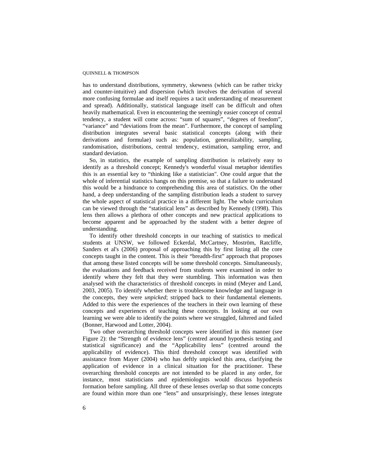has to understand distributions, symmetry, skewness (which can be rather tricky and counter-intuitive) and dispersion (which involves the derivation of several more confusing formulae and itself requires a tacit understanding of measurement and spread). Additionally, statistical language itself can be difficult and often heavily mathematical. Even in encountering the seemingly easier concept of central tendency, a student will come across: "sum of squares", "degrees of freedom", "variance" and "deviations from the mean". Furthermore, the concept of sampling distribution integrates several basic statistical concepts (along with their derivations and formulae) such as: population, generalizability, sampling, randomisation, distributions, central tendency, estimation, sampling error, and standard deviation.

So, in statistics, the example of sampling distribution is relatively easy to identify as a threshold concept; Kennedy's wonderful visual metaphor identifies this is an essential key to "thinking like a statistician". One could argue that the whole of inferential statistics hangs on this premise, so that a failure to understand this would be a hindrance to comprehending this area of statistics. On the other hand, a deep understanding of the sampling distribution leads a student to survey the whole aspect of statistical practice in a different light. The whole curriculum can be viewed through the "statistical lens" as described by Kennedy (1998). This lens then allows a plethora of other concepts and new practical applications to become apparent and be approached by the student with a better degree of understanding.

To identify other threshold concepts in our teaching of statistics to medical students at UNSW, we followed Eckerdal, McCartney, Moström, Ratcliffe, Sanders et al's (2006) proposal of approaching this by first listing all the core concepts taught in the content. This is their "breadth-first" approach that proposes that among these listed concepts will be some threshold concepts. Simultaneously, the evaluations and feedback received from students were examined in order to identify where they felt that they were stumbling. This information was then analysed with the characteristics of threshold concepts in mind (Meyer and Land, 2003, 2005). To identify whether there is troublesome knowledge and language in the concepts, they were *unpicked*; stripped back to their fundamental elements. Added to this were the experiences of the teachers in their own learning of these concepts and experiences of teaching these concepts. In looking at our own learning we were able to identify the points where we struggled, faltered and failed (Bonner, Harwood and Lotter, 2004).

Two other overarching threshold concepts were identified in this manner (see Figure 2): the "Strength of evidence lens" (centred around hypothesis testing and statistical significance) and the "Applicability lens" (centred around the applicability of evidence). This third threshold concept was identified with assistance from Mayer (2004) who has deftly unpicked this area, clarifying the application of evidence in a clinical situation for the practitioner. These overarching threshold concepts are not intended to be placed in any order, for instance, most statisticians and epidemiologists would discuss hypothesis formation before sampling. All three of these lenses overlap so that some concepts are found within more than one "lens" and unsurprisingly, these lenses integrate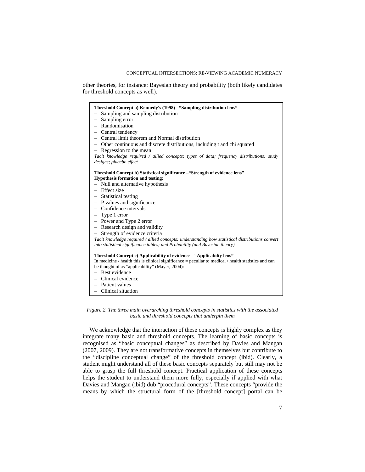other theories, for instance: Bayesian theory and probability (both likely candidates for threshold concepts as well).

| Threshold Concept a) Kennedy's (1998) - "Sampling distribution lens"                                 |  |  |  |  |
|------------------------------------------------------------------------------------------------------|--|--|--|--|
| Sampling and sampling distribution                                                                   |  |  |  |  |
| Sampling error<br>$\overline{\phantom{0}}$                                                           |  |  |  |  |
| - Randomisation                                                                                      |  |  |  |  |
| $-$ Central tendency                                                                                 |  |  |  |  |
| - Central limit theorem and Normal distribution                                                      |  |  |  |  |
| - Other continuous and discrete distributions, including t and chi squared                           |  |  |  |  |
| $-$ Regression to the mean                                                                           |  |  |  |  |
| Tacit knowledge required / allied concepts: types of data; frequency distributions; study            |  |  |  |  |
| designs; placebo effect                                                                              |  |  |  |  |
| Threshold Concept b) Statistical significance - "Strength of evidence lens"                          |  |  |  |  |
| <b>Hypothesis formation and testing:</b>                                                             |  |  |  |  |
| - Null and alternative hypothesis                                                                    |  |  |  |  |
| - Effect size                                                                                        |  |  |  |  |
| - Statistical testing                                                                                |  |  |  |  |
| $-$ P values and significance                                                                        |  |  |  |  |
| $-$ Confidence intervals                                                                             |  |  |  |  |
| $-$ Type 1 error                                                                                     |  |  |  |  |
| $-$ Power and Type 2 error                                                                           |  |  |  |  |
| - Research design and validity                                                                       |  |  |  |  |
| Strength of evidence criteria<br>$\overline{\phantom{0}}$                                            |  |  |  |  |
| Tacit knowledge required / allied concepts: understanding how statistical distributions convert      |  |  |  |  |
| into statistical significance tables; and Probability (and Bayesian theory)                          |  |  |  |  |
| Threshold Concept c) Applicability of evidence – "Applicabilty lens"                                 |  |  |  |  |
| In medicine / health this is clinical significance = peculiar to medical / health statistics and can |  |  |  |  |
| be thought of as "applicability" (Mayer, 2004):                                                      |  |  |  |  |
| $-$ Best evidence                                                                                    |  |  |  |  |
| $-$ Clinical evidence                                                                                |  |  |  |  |
| - Patient values                                                                                     |  |  |  |  |
| Clinical situation<br>$-$                                                                            |  |  |  |  |
|                                                                                                      |  |  |  |  |

*Figure 2. The three main overarching threshold concepts in statistics with the associated basic and threshold concepts that underpin them* 

We acknowledge that the interaction of these concepts is highly complex as they integrate many basic and threshold concepts. The learning of basic concepts is recognised as "basic conceptual changes" as described by Davies and Mangan (2007, 2009). They are not transformative concepts in themselves but contribute to the "discipline conceptual change" of the threshold concept (ibid). Clearly, a student might understand all of these basic concepts separately but still may not be able to grasp the full threshold concept. Practical application of these concepts helps the student to understand them more fully, especially if applied with what Davies and Mangan (ibid) dub "procedural concepts". These concepts "provide the means by which the structural form of the [threshold concept] portal can be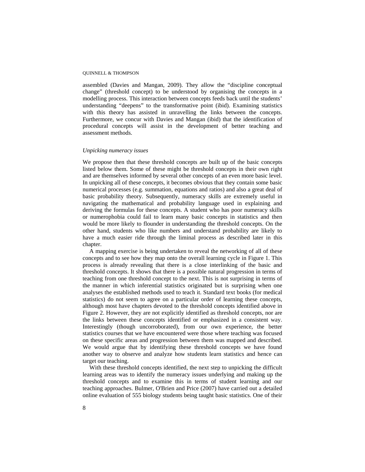assembled (Davies and Mangan, 2009). They allow the "discipline conceptual change" (threshold concept) to be understood by organising the concepts in a modelling process. This interaction between concepts feeds back until the students' understanding "deepens" to the transformative point (ibid). Examining statistics with this theory has assisted in unravelling the links between the concepts. Furthermore, we concur with Davies and Mangan (ibid) that the identification of procedural concepts will assist in the development of better teaching and assessment methods.

#### *Unpicking numeracy issues*

We propose then that these threshold concepts are built up of the basic concepts listed below them. Some of these might be threshold concepts in their own right and are themselves informed by several other concepts of an even more basic level. In unpicking all of these concepts, it becomes obvious that they contain some basic numerical processes (e.g. summation, equations and ratios) and also a great deal of basic probability theory. Subsequently, numeracy skills are extremely useful in navigating the mathematical and probability language used in explaining and deriving the formulas for these concepts. A student who has poor numeracy skills or numerophobia could fail to learn many basic concepts in statistics and then would be more likely to flounder in understanding the threshold concepts. On the other hand, students who like numbers and understand probability are likely to have a much easier ride through the liminal process as described later in this chapter.

 A mapping exercise is being undertaken to reveal the networking of all of these concepts and to see how they map onto the overall learning cycle in Figure 1. This process is already revealing that there is a close interlinking of the basic and threshold concepts. It shows that there is a possible natural progression in terms of teaching from one threshold concept to the next. This is not surprising in terms of the manner in which inferential statistics originated but is surprising when one analyses the established methods used to teach it. Standard text books (for medical statistics) do not seem to agree on a particular order of learning these concepts, although most have chapters devoted to the threshold concepts identified above in Figure 2. However, they are not explicitly identified as threshold concepts, nor are the links between these concepts identified or emphasized in a consistent way. Interestingly (though uncorroborated), from our own experience, the better statistics courses that we have encountered were those where teaching was focused on these specific areas and progression between them was mapped and described. We would argue that by identifying these threshold concepts we have found another way to observe and analyze how students learn statistics and hence can target our teaching.

 With these threshold concepts identified, the next step to unpicking the difficult learning areas was to identify the numeracy issues underlying and making up the threshold concepts and to examine this in terms of student learning and our teaching approaches. Bulmer, O'Brien and Price (2007) have carried out a detailed online evaluation of 555 biology students being taught basic statistics. One of their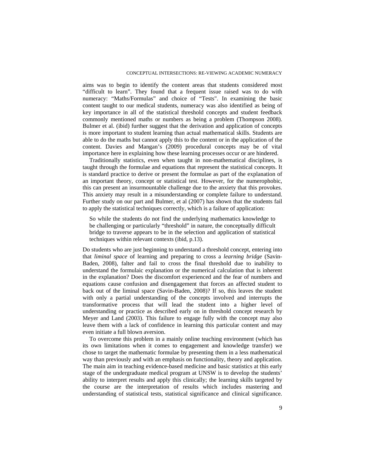aims was to begin to identify the content areas that students considered most "difficult to learn". They found that a frequent issue raised was to do with numeracy: "Maths/Formulas" and choice of "Tests". In examining the basic content taught to our medical students, numeracy was also identified as being of key importance in all of the statistical threshold concepts and student feedback commonly mentioned maths or numbers as being a problem (Thompson 2008). Bulmer et al. (ibid) further suggest that the derivation and application of concepts is more important to student learning than actual mathematical skills. Students are able to do the maths but cannot apply this to the content or in the application of the content. Davies and Mangan's (2009) procedural concepts may be of vital importance here in explaining how these learning processes occur or are hindered.

 Traditionally statistics, even when taught in non-mathematical disciplines, is taught through the formulae and equations that represent the statistical concepts. It is standard practice to derive or present the formulae as part of the explanation of an important theory, concept or statistical test. However, for the numerophobic, this can present an insurmountable challenge due to the anxiety that this provokes. This anxiety may result in a misunderstanding or complete failure to understand. Further study on our part and Bulmer, et al (2007) has shown that the students fail to apply the statistical techniques correctly, which is a failure of application:

So while the students do not find the underlying mathematics knowledge to be challenging or particularly "threshold" in nature, the conceptually difficult bridge to traverse appears to be in the selection and application of statistical techniques within relevant contexts (ibid, p.13).

Do students who are just beginning to understand a threshold concept, entering into that *liminal space* of learning and preparing to cross a *learning bridge* (Savin-Baden, 2008), falter and fail to cross the final threshold due to inability to understand the formulaic explanation or the numerical calculation that is inherent in the explanation? Does the discomfort experienced and the fear of numbers and equations cause confusion and disengagement that forces an affected student to back out of the liminal space (Savin-Baden, 2008)? If so, this leaves the student with only a partial understanding of the concepts involved and interrupts the transformative process that will lead the student into a higher level of understanding or practice as described early on in threshold concept research by Meyer and Land (2003). This failure to engage fully with the concept may also leave them with a lack of confidence in learning this particular content and may even initiate a full blown aversion.

 To overcome this problem in a mainly online teaching environment (which has its own limitations when it comes to engagement and knowledge transfer) we chose to target the mathematic formulae by presenting them in a less mathematical way than previously and with an emphasis on functionality, theory and application. The main aim in teaching evidence-based medicine and basic statistics at this early stage of the undergraduate medical program at UNSW is to develop the students' ability to interpret results and apply this clinically; the learning skills targeted by the course are the interpretation of results which includes mastering and understanding of statistical tests, statistical significance and clinical significance.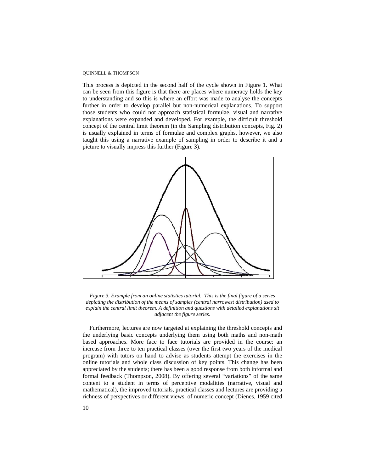This process is depicted in the second half of the cycle shown in Figure 1. What can be seen from this figure is that there are places where numeracy holds the key to understanding and so this is where an effort was made to analyse the concepts further in order to develop parallel but non-numerical explanations. To support those students who could not approach statistical formulae, visual and narrative explanations were expanded and developed. For example, the difficult threshold concept of the central limit theorem (in the Sampling distribution concepts, Fig. 2) is usually explained in terms of formulae and complex graphs, however, we also taught this using a narrative example of sampling in order to describe it and a picture to visually impress this further (Figure 3).



*Figure 3. Example from an online statistics tutorial. This is the final figure of a series depicting the distribution of the means of samples (central narrowest distribution) used to explain the central limit theorem. A definition and questions with detailed explanations sit adjacent the figure series.* 

Furthermore, lectures are now targeted at explaining the threshold concepts and the underlying basic concepts underlying them using both maths and non-math based approaches. More face to face tutorials are provided in the course: an increase from three to ten practical classes (over the first two years of the medical program) with tutors on hand to advise as students attempt the exercises in the online tutorials and whole class discussion of key points. This change has been appreciated by the students; there has been a good response from both informal and formal feedback (Thompson, 2008). By offering several "variations" of the same content to a student in terms of perceptive modalities (narrative, visual and mathematical), the improved tutorials, practical classes and lectures are providing a richness of perspectives or different views, of numeric concept (Dienes, 1959 cited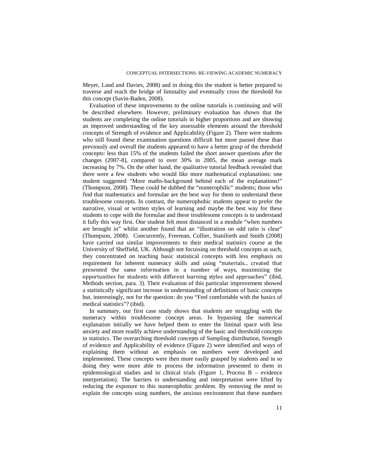Meyer, Land and Davies, 2008) and in doing this the student is better prepared to traverse and reach the bridge of liminality and eventually cross the threshold for this concept (Savin-Baden, 2008).

Evaluation of these improvements to the online tutorials is continuing and will be described elsewhere. However, preliminary evaluation has shown that the students are completing the online tutorials in higher proportions and are showing an improved understanding of the key assessable elements around the threshold concepts of Strength of evidence and Applicability (Figure 2). There were students who still found these examination questions difficult but more passed these than previously and overall the students appeared to have a better grasp of the threshold concepts: less than 15% of the students failed the short answer questions after the changes (2007-8), compared to over 30% in 2005, the mean average mark increasing by 7%. On the other hand, the qualitative tutorial feedback revealed that there were a few students who would like more mathematical explanations: one student suggested "More maths-background behind each of the explanations!" (Thompson, 2008). These could be dubbed the "numerophilic" students; those who find that mathematics and formulae are the best way for them to understand these troublesome concepts. In contrast, the numerophobic students appear to prefer the narrative, visual or written styles of learning and maybe the best way for these students to cope with the formulae and these troublesome concepts is to understand it fully this way first. One student felt most distanced in a module "when numbers are brought in" whilst another found that an "illustration on odd ratio is clear" (Thompson, 2008). Concurrently, Freeman, Collier, Staniforth and Smith (2008) have carried out similar improvements to their medical statistics course at the University of Sheffield, UK. Although not focussing on threshold concepts as such, they concentrated on teaching basic statistical concepts with less emphasis on requirement for inherent numeracy skills and using "materials... created that presented the same information in a number of ways, maximizing the opportunities for students with different learning styles and approaches" (ibid, Methods section, para. 3). Their evaluation of this particular improvement showed a statistically significant increase in understanding of definitions of basic concepts but, interestingly, not for the question: do you "Feel comfortable with the basics of medical statistics"? (ibid).

 In summary, our first case study shows that students are struggling with the numeracy within troublesome concept areas. In bypassing the numerical explanation initially we have helped them to enter the liminal space with less anxiety and more readily achieve understanding of the basic and threshold concepts in statistics. The overarching threshold concepts of Sampling distribution, Strength of evidence and Applicability of evidence (Figure 2) were identified and ways of explaining them without an emphasis on numbers were developed and implemented. These concepts were then more easily grasped by students and in so doing they were more able to process the information presented to them in epidemiological studies and in clinical trials (Figure 1, Process B – evidence interpretation). The barriers to understanding and interpretation were lifted by reducing the exposure to this numerophobic problem. By removing the need to explain the concepts using numbers, the anxious environment that these numbers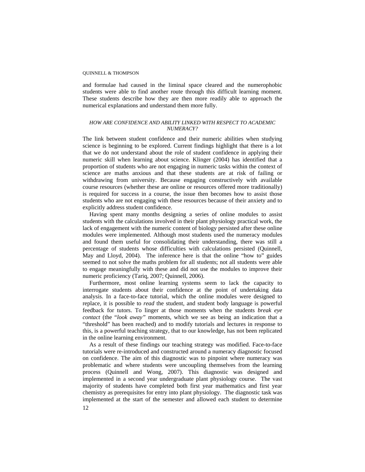and formulae had caused in the liminal space cleared and the numerophobic students were able to find another route through this difficult learning moment. These students describe how they are then more readily able to approach the numerical explanations and understand them more fully.

### *HOW ARE CONFIDENCE AND ABILITY LINKED WITH RESPECT TO ACADEMIC NUMERACY?*

The link between student confidence and their numeric abilities when studying science is beginning to be explored. Current findings highlight that there is a lot that we do not understand about the role of student confidence in applying their numeric skill when learning about science. Klinger (2004) has identified that a proportion of students who are not engaging in numeric tasks within the context of science are maths anxious and that these students are at risk of failing or withdrawing from university. Because engaging constructively with available course resources (whether these are online or resources offered more traditionally) is required for success in a course, the issue then becomes how to assist those students who are not engaging with these resources because of their anxiety and to explicitly address student confidence.

 Having spent many months designing a series of online modules to assist students with the calculations involved in their plant physiology practical work, the lack of engagement with the numeric content of biology persisted after these online modules were implemented. Although most students used the numeracy modules and found them useful for consolidating their understanding, there was still a percentage of students whose difficulties with calculations persisted (Quinnell, May and Lloyd, 2004). The inference here is that the online "how to" guides seemed to not solve the maths problem for all students; not all students were able to engage meaningfully with these and did not use the modules to improve their numeric proficiency (Tariq, 2007; Quinnell, 2006).

 Furthermore, most online learning systems seem to lack the capacity to interrogate students about their confidence at the point of undertaking data analysis. In a face-to-face tutorial, which the online modules were designed to replace, it is possible to *read* the student, and student body language is powerful feedback for tutors. To linger at those moments when the students *break eye contact* (the "*look away"* moments, which we see as being an indication that a "threshold" has been reached) and to modify tutorials and lectures in response to this, is a powerful teaching strategy, that to our knowledge, has not been replicated in the online learning environment.

 As a result of these findings our teaching strategy was modified. Face-to-face tutorials were re-introduced and constructed around a numeracy diagnostic focused on confidence. The aim of this diagnostic was to pinpoint where numeracy was problematic and where students were uncoupling themselves from the learning process (Quinnell and Wong, 2007). This diagnostic was designed and implemented in a second year undergraduate plant physiology course. The vast majority of students have completed both first year mathematics and first year chemistry as prerequisites for entry into plant physiology. The diagnostic task was implemented at the start of the semester and allowed each student to determine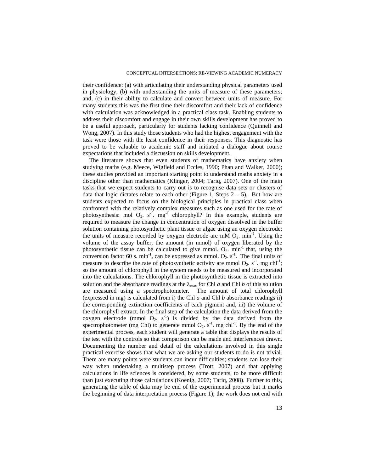their confidence: (a) with articulating their understanding physical parameters used in physiology, (b) with understanding the units of measure of these parameters; and, (c) in their ability to calculate and convert between units of measure. For many students this was the first time their discomfort and their lack of confidence with calculation was acknowledged in a practical class task. Enabling students to address their discomfort and engage in their own skills development has proved to be a useful approach, particularly for students lacking confidence (Quinnell and Wong, 2007). In this study those students who had the highest engagement with the task were those with the least confidence in their responses. This diagnostic has proved to be valuable to academic staff and initiated a dialogue about course expectations that included a discussion on skills development.

 The literature shows that even students of mathematics have anxiety when studying maths (e.g. Meece, Wigfield and Eccles, 1990; Phan and Walker, 2000); these studies provided an important starting point to understand maths anxiety in a discipline other than mathematics (Klinger, 2004; Tariq, 2007). One of the main tasks that we expect students to carry out is to recognise data sets or clusters of data that logic dictates relate to each other (Figure 1, Steps  $2 - 5$ ). But how are students expected to focus on the biological principles in practical class when confronted with the relatively complex measures such as one used for the rate of photosynthesis: mol  $O_2$ . s<sup>-1</sup>. mg<sup>-1</sup> chlorophyll? In this example, students are required to measure the change in concentration of oxygen dissolved in the buffer solution containing photosynthetic plant tissue or algae using an oxygen electrode; the units of measure recorded by oxygen electrode are mM  $O_2$ . min<sup>-1</sup>. Using the volume of the assay buffer, the amount (in mmol) of oxygen liberated by the photosynthetic tissue can be calculated to give mmol.  $O_2$ . min<sup>-1</sup> that, using the conversion factor 60 s. min<sup>-1</sup>, can be expressed as mmol.  $O_2^{\sim}$  s<sup>-1</sup>. The final units of measure to describe the rate of photosynthetic activity are mmol  $O_2$ . s<sup>-1</sup>. mg chl<sup>-1</sup>; so the amount of chlorophyll in the system needs to be measured and incorporated into the calculations. The chlorophyll in the photosynthetic tissue is extracted into solution and the absorbance readings at the  $\lambda_{\text{max}}$  for Chl *a* and Chl *b* of this solution are measured using a spectrophotometer. The amount of total chlorophyll (expressed in mg) is calculated from i) the Chl *a* and Chl *b* absorbance readings ii) the corresponding extinction coefficients of each pigment and, iii) the volume of the chlorophyll extract. In the final step of the calculation the data derived from the oxygen electrode (mmol  $O_2$ . s<sup>-1</sup>) is divided by the data derived from the spectrophotometer (mg Chl) to generate mmol  $Q_2$ , s<sup>-1</sup>, mg chl<sup>-1</sup>. By the end of the experimental process, each student will generate a table that displays the results of the test with the controls so that comparison can be made and interferences drawn. Documenting the number and detail of the calculations involved in this single practical exercise shows that what we are asking our students to do is not trivial. There are many points were students can incur difficulties; students can lose their way when undertaking a multistep process (Trott, 2007) and that applying calculations in life sciences is considered, by some students, to be more difficult than just executing those calculations (Koenig, 2007; Tariq, 2008). Further to this, generating the table of data may be end of the experimental process but it marks the beginning of data interpretation process (Figure 1); the work does not end with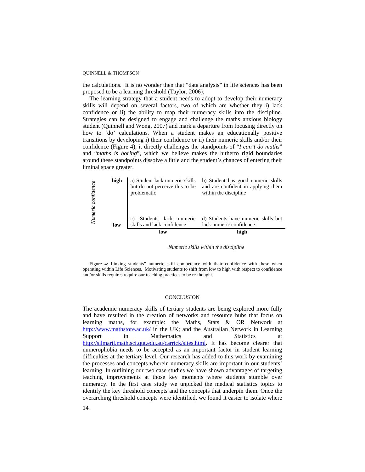the calculations. It is no wonder then that "data analysis" in life sciences has been proposed to be a learning threshold (Taylor, 2006).

The learning strategy that a student needs to adopt to develop their numeracy skills will depend on several factors, two of which are whether they i) lack confidence or ii) the ability to map their numeracy skills into the discipline. Strategies can be designed to engage and challenge the maths anxious biology student (Quinnell and Wong, 2007) and mark a departure from focusing directly on how to 'do' calculations. When a student makes an educationally positive transitions by developing i) their confidence or ii) their numeric skills and/or their confidence (Figure 4), it directly challenges the standpoints of "*I can't do maths*" and "*maths is boring*", which we believe makes the hitherto rigid boundaries around these standpoints dissolve a little and the student's chances of entering their liminal space greater.

|            |      | low                                           | high                                                                                                                             |
|------------|------|-----------------------------------------------|----------------------------------------------------------------------------------------------------------------------------------|
|            | low  | skills and lack confidence                    | lack numeric confidence                                                                                                          |
| Numeric    |      | Students lack numeric                         | d) Students have numeric skills but                                                                                              |
| confidence | high | a) Student lack numeric skills<br>problematic | b) Student has good numeric skills<br>but do not perceive this to be and are confident in applying them<br>within the discipline |

*Numeric skills within the discipline* 

Figure 4: Linking students" numeric skill competence with their confidence with these when operating within Life Sciences. Motivating students to shift from low to high with respect to confidence and/or skills requires require our teaching practices to be re-thought.

#### **CONCLUSION**

The academic numeracy skills of tertiary students are being explored more fully and have resulted in the creation of networks and resource hubs that focus on learning maths, for example: the Maths, Stats & OR Network at <http://www.mathstore.ac.uk/>in the UK; and the Australian Network in Learning Support in Mathematics and Statistics at <http://silmaril.math.sci.qut.edu.au/carrick/sites.html>. It has become clearer that numerophobia needs to be accepted as an important factor in student learning difficulties at the tertiary level. Our research has added to this work by examining the processes and concepts wherein numeracy skills are important in our students' learning. In outlining our two case studies we have shown advantages of targeting teaching improvements at those key moments where students stumble over numeracy. In the first case study we unpicked the medical statistics topics to identify the key threshold concepts and the concepts that underpin them. Once the overarching threshold concepts were identified, we found it easier to isolate where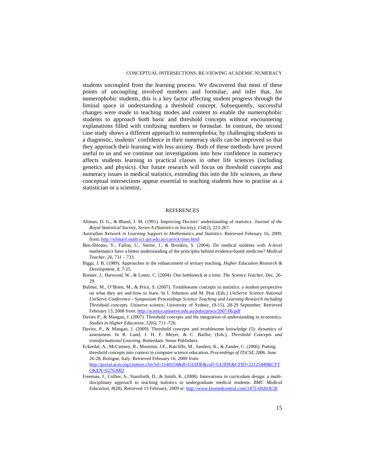students uncoupled from the learning process. We discovered that most of these points of uncoupling involved numbers and formulae, and infer that, for numerophobic students, this is a key factor affecting student progress through the liminal space in understanding a threshold concept. Subsequently, successful changes were made to teaching modes and content to enable the numerophobic students to approach both basic and threshold concepts without encountering explanations filled with confusing numbers or formulae. In contrast, the second case study shows a different approach to numerophobia; by challenging students in a diagnostic, students' confidence in their numeracy skills can be improved so that they approach their learning with less anxiety. Both of these methods have proved useful to us and we continue our investigations into how confidence in numeracy affects students learning in practical classes in other life sciences (including genetics and physics). Our future research will focus on threshold concepts and numeracy issues in medical statistics, extending this into the life sciences, as these conceptual intersections appear essential to teaching students how to practise as a statistician or a scientist.

#### REFERENCES

- Altman, D. G., & Bland, J. M. (1991). Improving Doctors' understanding of statistics. *Journal of the Royal Statistical Society, Series A (Statistics in Society), 154*(2), 223-267.
- *Australian Network in Learning Support in Mathematics and Statistics.* Retrieved February 16, 2009, from: <http://silmaril.math.sci.qut.edu.au/carrick/sites.html>
- Ben-Shlomo, Y., Fallon, U., Sterne, J., & Brookes, S. (2004). Do medical students with A-level mathematics have a better understanding of the principles behind evidence-based medicine? *[Medical](http://www.informaworld.com/smpp/title%7Econtent=t713438241%7Edb=all)  [Teacher](http://www.informaworld.com/smpp/title%7Econtent=t713438241%7Edb=all)*, *[26](http://www.informaworld.com/smpp/title~content=t713438241~db=all~tab=issueslist~branches=26#v26)*, 731 – 733.
- Biggs, J. B. (1989). Approaches to the enhancement of tertiary teaching. *[Higher Education Research &](http://www.informaworld.com/smpp/title%7Econtent=t713423834%7Edb=all)  [Development](http://www.informaworld.com/smpp/title%7Econtent=t713423834%7Edb=all), 8,* 7-25.
- Bonner, J., Harwood, W., & Lotter, C. (2004). One bottleneck at a time. *The Science Teacher,* Dec, 26- 29.
- Bulmer, M., O"Brien, M., & Price, S. (2007). Troublesome concepts in statistics: a student perspective on what they are and how to learn. In I. Johnston and M. Peat (Eds.) *UniServe Science National UniServe Conference - Symposium Proceedings Science Teaching and Learning Research including Threshold concepts.* Uniserve science, University of Sydney, (9-15), 28-29 September*.* Retrieved February 13, 2008 from: <http://science.uniserve.edu.au/pubs/procs/2007/06.pdf>
- Davies P., & Mangan, J. (2007). Threshold concepts and the integration of understanding in economics. *Studies in Higher Education, 32*(6), 711–726.
- Davies, P., & Mangan, J. (2009). Threshold concepts and troublesome knowledge (5): dynamics of assessment. In R. Land, J. H. F. Meyer, & C. Baillie, (Eds.), *Threshold Concepts and transformational Learning.* Rotterdam: Sense Publishers.
- Eckerdal, A., McCartney, R., Moström, J.E., Ratcliffe, M., Sanders, K., & Zander, C. (2006). Putting threshold concepts into context in computer science education. *Proceedings of ITiCSE 2006.* June 26-28, Bologne, Italy. Retrieved February 16, 2009 from: [http://portal.acm.org/citation.cfm?id=1140154&dl=GUIDE&coll=GUIDE&CFID=22125449&CFT](http://portal.acm.org/citation.cfm?id=1140154&dl=GUIDE&coll=GUIDE&CFID=22125449&CFTOKEN=62763002) [OKEN=62763002](http://portal.acm.org/citation.cfm?id=1140154&dl=GUIDE&coll=GUIDE&CFID=22125449&CFTOKEN=62763002)
- Freeman, J., Collier, S., Staniforth, D., & Smith, K. (2008). Innovations in curriculum design: a multidisciplinary approach to teaching statistics to undergraduate medical students. *BMC Medical Education, 8*(28). Retrieved 13 February, 2009 at:<http://www.biomedcentral.com/1472-6920/8/28>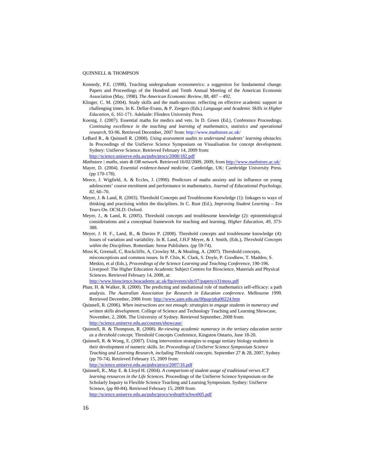- Kennedy, P.E. (1998). Teaching undergraduate econometrics: a suggestion for fundamental change. Papers and Proceedings of the Hundred and Tenth Annual Meeting of the American Economic Association (May, 1998). *The American Economic Review,* 88, 487 – 492.
- Klinger, C. M. (2004). Study skills and the math-anxious: reflecting on effective academic support in challenging times. In K. Dellar-Evans, & P. Zeegers (Eds.) *Language and Academic Skills in Higher Education*, *6*, 161-171. Adelaide: Flinders University Press.
- Koenig, J. (2007). Essential maths for medics and vets. In D. Green (Ed.), Conference Proceedings. *Continuing excellence in the teaching and learning of mathematics, statistics and operational research,* 93-96. Retrieved December, 2007 from:<http://www.mathstore.ac.uk/>
- LeBard R., & Quinnell R. (2008). *Using assessment audits to understand students' learning obstacles.*  In Proceedings of the UniServe Science Symposium on Visualisation for concept development. Sydney: UniServe Science. Retrieved February 14, 2009 from:

<http://science.uniserve.edu.au/pubs/procs/2008/182.pdf>

- *Mathstore | maths, stats & OR network.* Retrieved 16/02/2009, 2009, from<http://www.mathstore.ac.uk/>
- Mayer, D. (2004). *Essential evidence-based medicine.* Cambridge, UK: Cambridge University Press. (pp 170-178).
- Meece, J. Wigfield, A. & Eccles, J. (1990). Predictors of maths anxiety and its influence on young adolescents' course enrolment and performance in mathematics. *Journal of Educational Psychology, 82,* 60–70.
- Meyer, J. & Land, R. (2003). Threshold Concepts and Troublesome Knowledge (1): linkages to ways of thinking and practising within the disciplines. In C. Rust (Ed.), *Improving Student Learning – Ten Years On.* OCSLD: Oxford.
- Meyer, J., & Land, R. (2005). Threshold concepts and troublesome knowledge (2): epistemiological considerations and a conceptual framework for teaching and learning. *Higher Education, 49,* 373- 388.
- Meyer, J. H. F., Land, R., & Davies P. (2008). Threshold concepts and troublesome knowledge (4): Issues of variation and variability. In R. Land, J.H.F Meyer, & J. Smith, (Eds.), *Threshold Concepts within the Disciplines.* Rotterdam: Sense Publishers. (pp 59-74).
- Moss K, Greenall, C, Rockcliffe, A, Crowley M., & Mealing, A. (2007). Threshold concepts, misconceptions and common issues. In P. Chin, K. Clark, S. Doyle, P. Goodhew, T. Madden, S. Meskin, et al (Eds.), *Proceedings of the Science Learning and Teaching Conference*, 190-196. Liverpool: The Higher Education Academic Subject Centres for Bioscience, Materials and Physical Sciences. Retrieved February 14, 2008, at:

<http://www.bioscience.heacademy.ac.uk/ftp/events/sltc07/papers/o31moss.pdf>

- Phan, H. & Walker, R. (2000). The predicting and mediational role of mathematics self-efficacy: a path analysis. *The Australian Association for Research in Education conference*. Melbourne 1999. Retrieved December, 2006 from: <http://www.aare.edu.au/00pap/pha00224.htm>
- Quinnell, R. (2006). *When instructions are not enough: strategies to engage students in numeracy and written skills development.* College of Science and Technology Teaching and Learning Showcase, November, 2, 2006. The University of Sydney. Retrieved September, 2008 from: <http://science.uniserve.edu.au/courses/showcase/>
- Quinnell, R. & Thompson, R. (2008). *Re-viewing academic numeracy in the tertiary education sector as a threshold concept.* Threshold Concepts Conference, Kingston Ontario, June 18-20.
- Quinnell, R. & Wong, E. (2007). Using intervention strategies to engage tertiary biology students in their development of numeric skills. In: *Proceedings of UniServe Science Symposium Science Teaching and Learning Research, including Threshold concepts.* September 27 & 28, 2007, Sydney (pp 70-74). Retrieved February 15, 2009 from: <http://science.uniserve.edu.au/pubs/procs/2007/16.pdf>
- Quinnell, R., May E. & Lloyd H. (2004). *A comparison of student usage of traditional verses ICT learning resources in the Life Sciences.* Proceedings of the UniServe Science Symposium on the Scholarly Inquiry in Flexible Science Teaching and Learning Symposium. Sydney: UniServe Science, (pp 80-84). Retrieved February 15, 2009 from: <http://science.uniserve.edu.au/pubs/procs/wshop9/schws005.pdf>